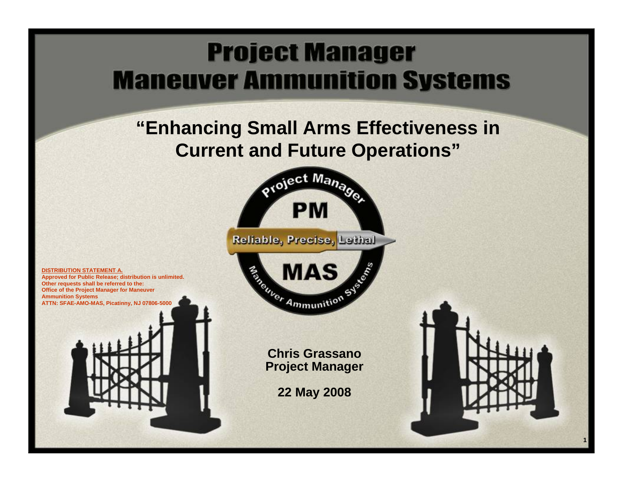### **Project Manager Maneuver Ammunition Systems**

### **"Enhancing Small Arms Effectiveness in Current and Future Operations"**





**1**

**DISTRIBUTION STATEMENT A. Approved for Public Release; distribution is unlimited. Other requests shall be referred to the: Office of the Project Manager for Maneuver Ammunition Systems ATTN: SFAE-AMO-MAS, Picatinny, NJ 07806-5000**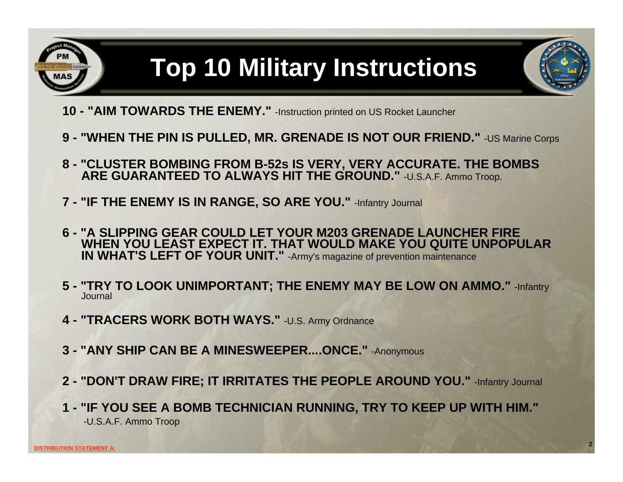

# **Top 10 Military Instructions**

- **10 - "AIM TOWARDS THE ENEMY."** -Instruction printed on US Rocket Launcher
- **9 - "WHEN THE PIN IS PULLED, MR. GRENADE IS NOT OUR FRIEND."** -US Marine Corps
- **8 - "CLUSTER BOMBING FROM B-52s IS VERY, VERY ACCURATE. THE BOMBS ARE GUARANTEED TO ALWAYS HIT THE GROUND."** -U.S.A.F. Ammo Troop.
- **7 - "IF THE ENEMY IS IN RANGE, SO ARE YOU."** -Infantry Journal
- **6 - "A SLIPPING GEAR COULD LET YOUR M203 GRENADE LAUNCHER FIRE WHEN YOU LEAST EXPECT IT. THAT WOULD MAKE YOU QUITE UNPOPULAR IN WHAT'S LEFT OF YOUR UNIT."** -Army's magazine of prevention maintenance
- **5 - "TRY TO LOOK UNIMPORTANT; THE ENEMY MAY BE LOW ON AMMO."** -Infantry Journal
- **4 - "TRACERS WORK BOTH WAYS."** -U.S. Army Ordnance
- **3 - "ANY SHIP CAN BE A MINESWEEPER....ONCE."** -Anonymous
- **2 - "DON'T DRAW FIRE; IT IRRITATES THE PEOPLE AROUND YOU."** -Infantry Journal
- **1 - "IF YOU SEE A BOMB TECHNICIAN RUNNING, TRY TO KEEP UP WITH HIM."**  -U.S.A.F. Ammo Troop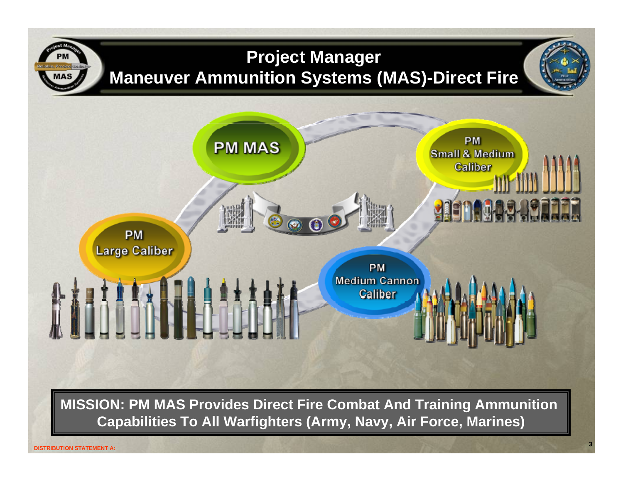

**MISSION: PM MAS Provides Direct Fire Combat And Training Ammunition Capabilities To All Warfighters (Army, Navy, Air Force, Marines)**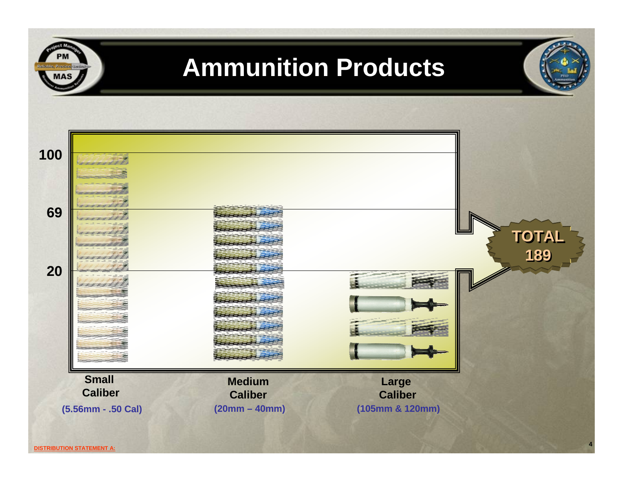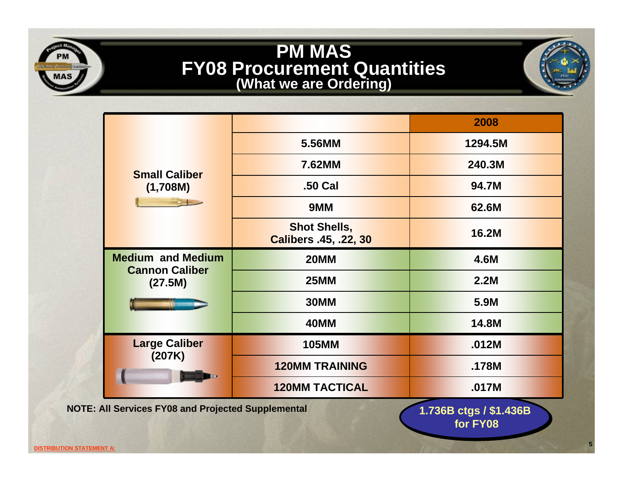### **PM MAS FY08 Procurement Quantities (What we are Ordering)**

| <b>Small Caliber</b><br>(1,708M)                             |                                              | 2008    |
|--------------------------------------------------------------|----------------------------------------------|---------|
|                                                              | 5.56MM                                       | 1294.5M |
|                                                              | 7.62MM                                       | 240.3M  |
|                                                              | .50 Cal                                      | 94.7M   |
|                                                              | 9MM                                          | 62.6M   |
|                                                              | <b>Shot Shells,</b><br>Calibers .45, .22, 30 | 16.2M   |
| <b>Medium and Medium</b><br><b>Cannon Caliber</b><br>(27.5M) | <b>20MM</b>                                  | 4.6M    |
|                                                              | <b>25MM</b>                                  | 2.2M    |
|                                                              | <b>30MM</b>                                  | 5.9M    |
|                                                              | <b>40MM</b>                                  | 14.8M   |
| <b>Large Caliber</b><br>(207K)                               | <b>105MM</b>                                 | .012M   |
|                                                              | <b>120MM TRAINING</b>                        | .178M   |
|                                                              | <b>120MM TACTICAL</b>                        | .017M   |

**for FY08for FY08 1.736B ctgs / \$1.436B**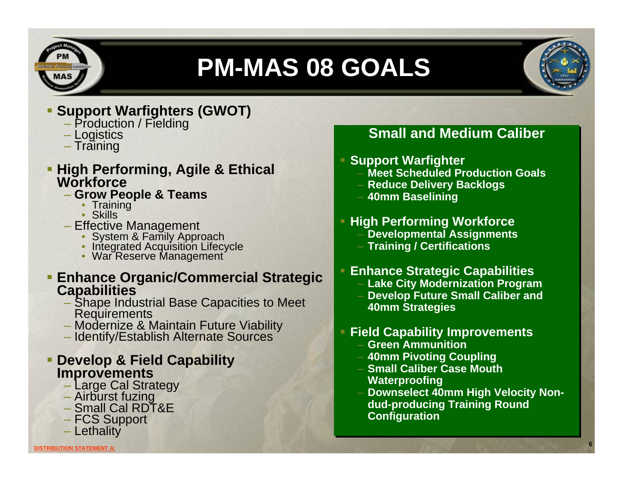

# **PM-MAS 08 GOALS**



#### **Support Warfighters (GWOT)**

- Production / Fielding
- Logistics
- Training

# **High Performing, Agile & Ethical Workforce**

- **Grow People & Teams**
	- Training<br>• Skills
	-
- -
- Effective Management System & Family Approach Integrated Acquisition Lifecycle War Reserve Management
	-

# **Enhance Organic/Commercial Strategic Capabilities**

- Shape Industrial Base Capacities to Meet Requirements
- Modernize & Maintain Future Viability Identify/Establish Alternate Sources
- 

### **Develop & Field Capability Improvements**

- Large Cal Strategy
- Airburst fuzing Small Cal RDT&E
- 
- FCS Support
- Lethality

#### **Small and Medium Caliber**

#### **Support Warfighter Support Warfighter**

- **Meet Scheduled Production Goals Meet Scheduled Production Goals**
- **Reduce Delivery Backlogs Reduce Delivery Backlogs**
- **40mm Baselining 40mm Baselining**

#### **High Performing Workforce High Performing Workforce**

- **Developmental Assignments Developmental Assignments**
- **Training / Certifications Training / Certifications**

#### **Enhance Strategic Capabilities Enhance Strategic Capabilities**

- **Lake City Modernization Program Lake City Modernization Program**
- **Develop Future Small Caliber and Develop Future Small Caliber and 40mm Strategies 40mm Strategies**

#### **Field Capability Improvements Field Capability Improvements**

- **Green Ammunition Green Ammunition**
- **40mm Pivoting Coupling 40mm Pivoting Coupling**
- **Small Caliber Case Mouth Small Caliber Case Mouth Waterproofing Waterproofing**
- **Downselect 40mm High Velocity Non- Downselect 40mm High Velocity Nondud-producing Training Round dud-producing Training Round Configuration Configuration**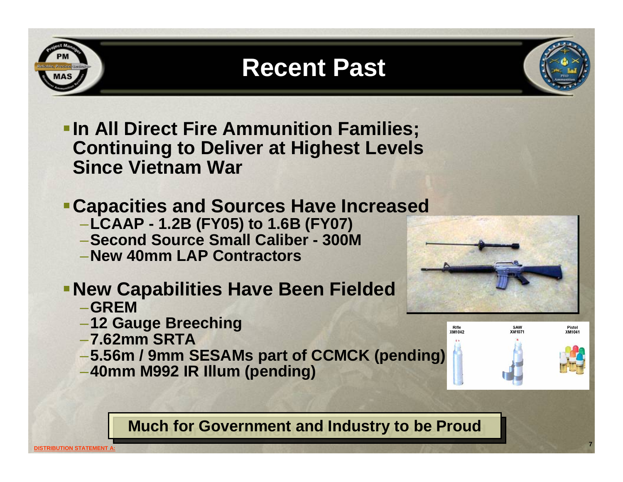### **Recent Past**

- **In All Direct Fire Ammunition Families; Continuing to Deliver at Highest Levels Since Vietnam War**
- **Capacities and Sources Have Increased**
	- –**LCAAP - 1.2B (FY05) to 1.6B (FY07)**
	- –**Second Source Small Caliber - 300M**
	- –**New 40mm LAP Contractors**

### **- New Capabilities Have Been Fielded**

- –**GREM**
- –**12 Gauge Breeching**
- –**7.62mm SRTA**
- –**5.56m / 9mm SESAMs part of CCMCK (pending)**
- –**40mm M992 IR Illum (pending)**

#### **Much for Government and Industry to be Proud Much for Government and Industry to be Proud**



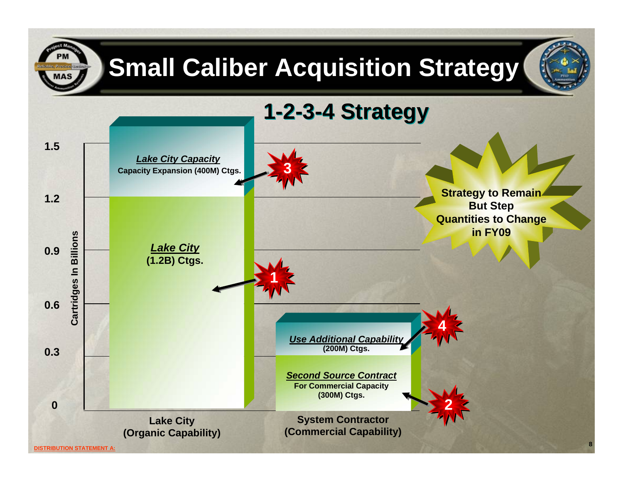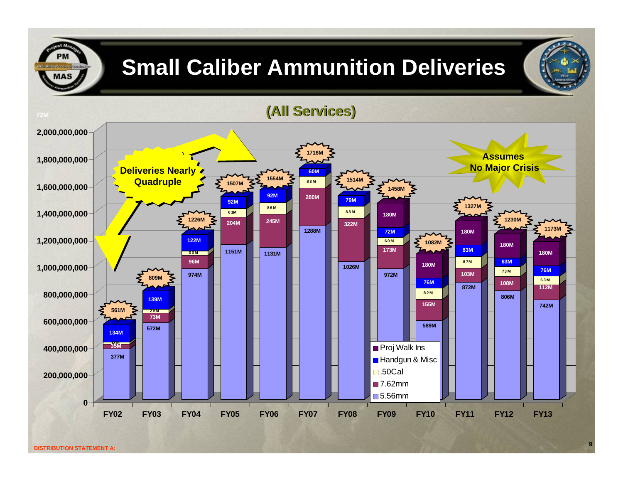

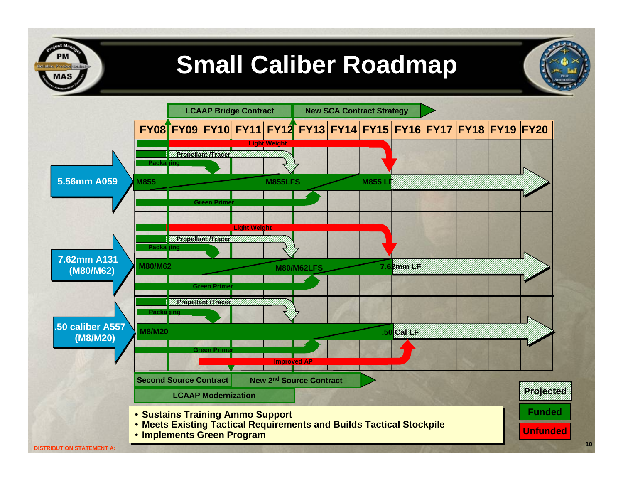### **Small Caliber Roadmap**

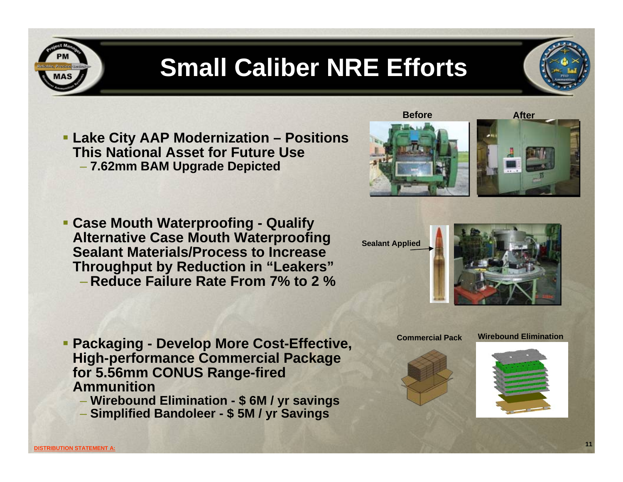### **Small Caliber NRE Efforts**

- **Lake City AAP Modernization – Positions This National Asset for Future Use**– **7.62mm BAM Upgrade Depicted**
- **Case Mouth Waterproofing - Qualify Alternative Case Mouth Waterproofing Sealant Materials/Process to Increase Throughput by Reduction in "Leakers"** – **Reduce Failure Rate From 7% to 2 %**

- **Packaging - Develop More Cost-Effective, High-performance Commercial Package for 5.56mm CONUS Range-fired Ammunition**
	- **Wirebound Elimination - \$ 6M / yr savings**
	- **Simplified Bandoleer - \$ 5M / yr Savings**







**Before**

**Sealant Applied**

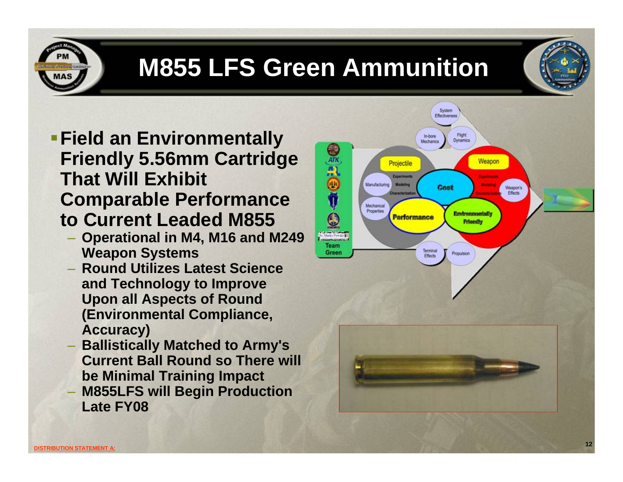

# **M855 LFS Green Ammunition**

- **Field an Environmentally Friendly 5.56mm Cartridge That Will Exhibit Comparable Performance to Current Leaded M855**
	- **Operational in M4, M16 and M249 Weapon Systems**
	- **Round Utilizes Latest Science and Technology to Improve Upon all Aspects of Round (Environmental Compliance, Accuracy)**
	- **Ballistically Matched to Army's Current Ball Round so There will be Minimal Training Impact**
	- **M855LFS will Begin Production Late FY08**

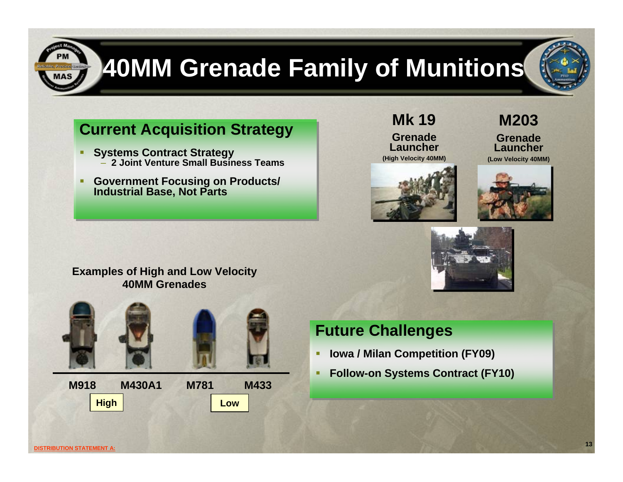

# **40MM Grenade Family of Munitions**

### **Current Acquisition Strategy Current Acquisition Strategy**

- ۰, **Systems Contract Strategy** – **2 Joint Venture Small Business Teams** Г **Systems Contract Strategy** – **2 Joint Venture Small Business Teams**
- ٠ **Government Focusing on Products/ Industrial Base, Not Parts**  г **Government Focusing on Products/ Industrial Base, Not Parts**



### **Future Challenges Future Challenges**

- ۳ **Iowa / Milan Competition (FY09) Iowa / Milan Competition (FY09)**
- ۳ **Follow-on Systems Contract (FY10) Follow-on Systems Contract (FY10)**

**Mk 19**

**Grenade Launcher(High Velocity 40MM)**







**M203**

**Grenade Launcher**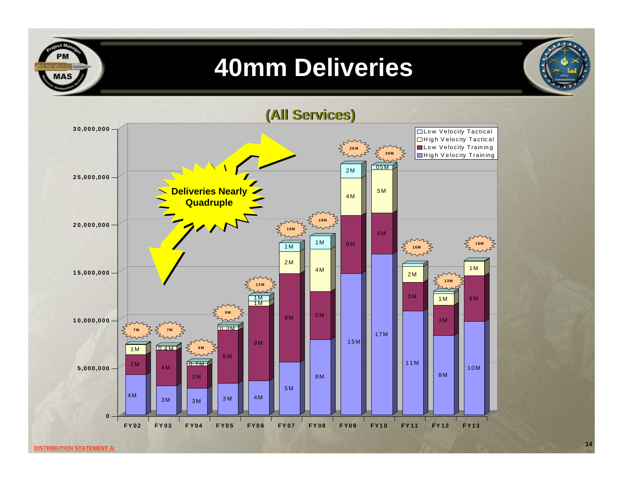### **40mm Deliveries**



**14**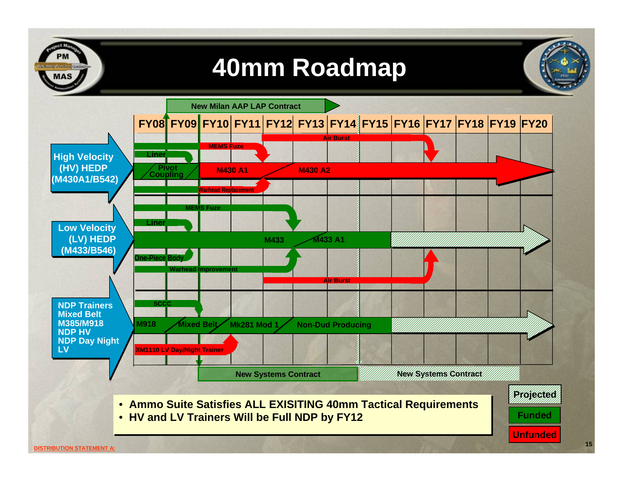### **40mm Roadmap**

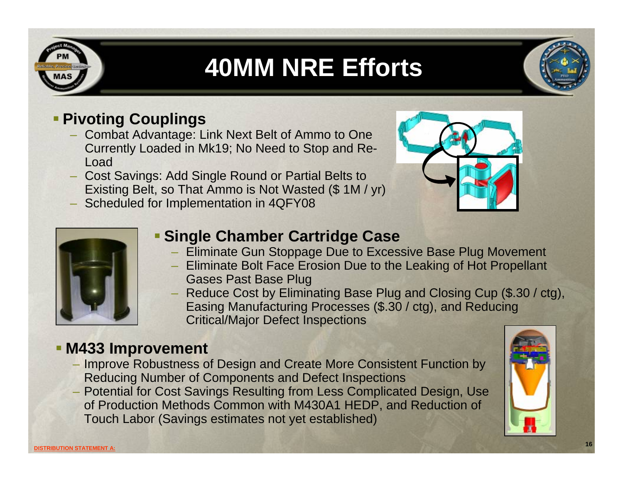

# **40MM NRE Efforts**



#### **Pivoting Couplings**

- Combat Advantage: Link Next Belt of Ammo to One Currently Loaded in Mk19; No Need to Stop and Re-Load
- Cost Savings: Add Single Round or Partial Belts to Existing Belt, so That Ammo is Not Wasted (\$ 1M / yr)
- Scheduled for Implementation in 4QFY08





#### **Single Chamber Cartridge Case**

- Eliminate Gun Stoppage Due to Excessive Base Plug Movement
- Eliminate Bolt Face Erosion Due to the Leaking of Hot Propellant Gases Past Base Plug
- Reduce Cost by Eliminating Base Plug and Closing Cup (\$.30 / ctg), Easing Manufacturing Processes (\$.30 / ctg), and Reducing Critical/Major Defect Inspections

#### **M433 Improvement**

- Improve Robustness of Design and Create More Consistent Function by Reducing Number of Components and Defect Inspections
- Potential for Cost Savings Resulting from Less Complicated Design, Use of Production Methods Common with M430A1 HEDP, and Reduction of Touch Labor (Savings estimates not yet established)

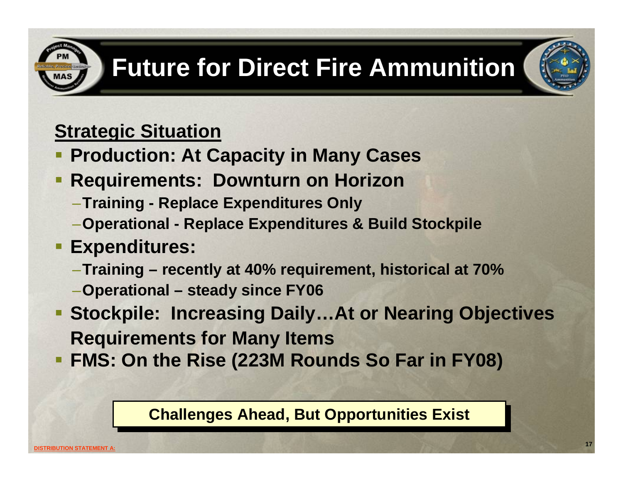# **Future for Direct Fire Ammunition**

### **Strategic Situation**

- **Production: At Capacity in Many Cases**
- п **Requirements: Downturn on Horizon**
	- –**Training - Replace Expenditures Only**
	- –**Operational - Replace Expenditures & Build Stockpile**

### **Expenditures:**

- –**Training – recently at 40% requirement, historical at 70%**
- –**Operational – steady since FY06**
- **Stockpile: Increasing Daily…At or Nearing Objectives Requirements for Many Items**
- **FMS: On the Rise (223M Rounds So Far in FY08)**

#### **Challenges Ahead, But Opportunities Exist**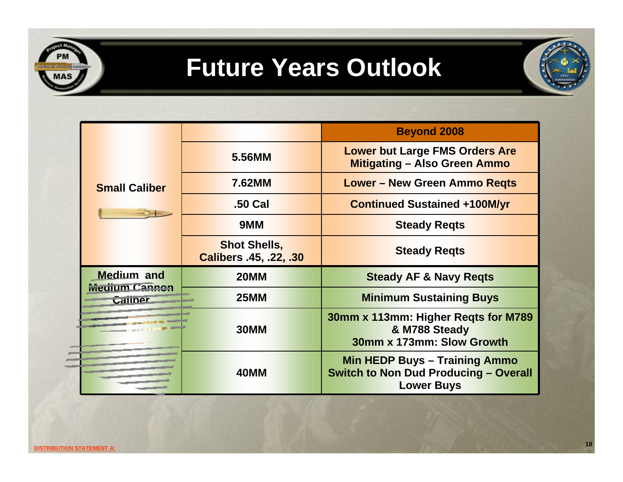

| <b>Small Caliber</b>                                 |                                               | <b>Beyond 2008</b>                                                                                        |
|------------------------------------------------------|-----------------------------------------------|-----------------------------------------------------------------------------------------------------------|
|                                                      | 5.56MM                                        | <b>Lower but Large FMS Orders Are</b><br><b>Mitigating - Also Green Ammo</b>                              |
|                                                      | 7.62MM                                        | <b>Lower - New Green Ammo Regts</b>                                                                       |
|                                                      | .50 Cal                                       | <b>Continued Sustained +100M/yr</b>                                                                       |
|                                                      | 9MM                                           | <b>Steady Regts</b>                                                                                       |
|                                                      | <b>Shot Shells,</b><br>Calibers .45, .22, .30 | <b>Steady Regts</b>                                                                                       |
| <b>Medium</b> and<br><b>Medium Cannon</b><br>Caliner | <b>20MM</b>                                   | <b>Steady AF &amp; Navy Regts</b>                                                                         |
|                                                      | <b>25MM</b>                                   | <b>Minimum Sustaining Buys</b>                                                                            |
|                                                      | 30MM                                          | 30mm x 113mm: Higher Regts for M789<br>& M788 Steady<br>30mm x 173mm: Slow Growth                         |
|                                                      | 40MM                                          | <b>Min HEDP Buys - Training Ammo</b><br><b>Switch to Non Dud Producing - Overall</b><br><b>Lower Buys</b> |

 $\equiv$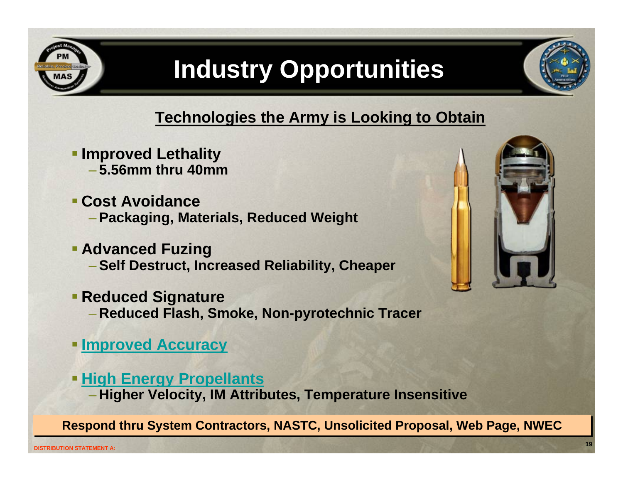

# **Industry Opportunities**

#### **Technologies the Army is Looking to Obtain**

- **Improved Lethality** – **5.56mm thru 40mm**
- **Cost Avoidance**– **Packaging, Materials, Reduced Weight**
- **Advanced Fuzing** 
	- **Self Destruct, Increased Reliability, Cheaper**
- **Reduced Signature** – **Reduced Flash, Smoke, Non-pyrotechnic Tracer**
- **[Improved Accuracy](#page-19-0)**
- **[High Energy Propellants](#page-19-0) Higher Velocity, IM Attributes, Temperature Insensitive**

**Respond thru System Contractors, NASTC Respond thru System Contractors, NASTC, Unsolicited Proposal, Web Page, NWEC , Unsolicited Proposal, Web Page, NWEC**